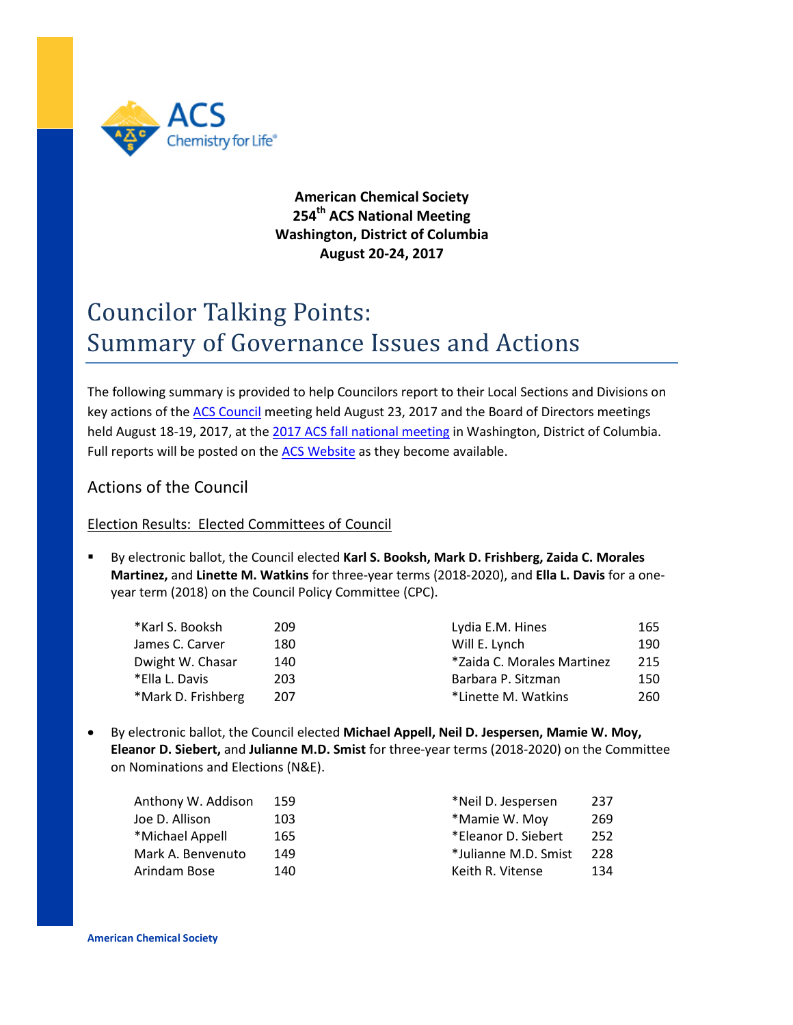

# **American Chemical Society 254th ACS National Meeting Washington, District of Columbia August 20-24, 2017**

# Councilor Talking Points: Summary of Governance Issues and Actions

The following summary is provided to help Councilors report to their Local Sections and Divisions on key actions of the [ACS Council](https://www.acs.org/content/dam/acsorg/about/governance/councilors/COUNCIL%20Agenda%208.17.pdf) meeting held August 23, 2017 and the Board of Directors meetings held August 18-19, 2017, at th[e 2017 ACS fall national meeting](https://www.acs.org/content/acs/en/meetings/fall-2017.html) in Washington, District of Columbia. Full reports will be posted on th[e ACS Website](https://www.acs.org/content/acs/en/about/governance/councilors/committee-reports-to-council-at-national-meetings.html) as they become available.

# Actions of the Council

## Election Results: Elected Committees of Council

 By electronic ballot, the Council elected **Karl S. Booksh, Mark D. Frishberg, Zaida C. Morales Martinez,** and **Linette M. Watkins** for three-year terms (2018-2020), and **Ella L. Davis** for a oneyear term (2018) on the Council Policy Committee (CPC).

| 209 | Lydia E.M. Hines           | 165 |
|-----|----------------------------|-----|
| 180 | Will E. Lynch              | 190 |
| 140 | *Zaida C. Morales Martinez | 215 |
| 203 | Barbara P. Sitzman         | 150 |
| 207 | *Linette M. Watkins        | 260 |
|     |                            |     |

• By electronic ballot, the Council elected **Michael Appell, Neil D. Jespersen, Mamie W. Moy, Eleanor D. Siebert,** and **Julianne M.D. Smist** for three-year terms (2018-2020) on the Committee on Nominations and Elections (N&E).

| Anthony W. Addison | 159 | *Neil D. Jespersen   | 237 |
|--------------------|-----|----------------------|-----|
| Joe D. Allison     | 103 | *Mamie W. Moy        | 269 |
| *Michael Appell    | 165 | *Eleanor D. Siebert  | 252 |
| Mark A. Benvenuto  | 149 | *Julianne M.D. Smist | 228 |
| Arindam Bose       | 140 | Keith R. Vitense     | 134 |
|                    |     |                      |     |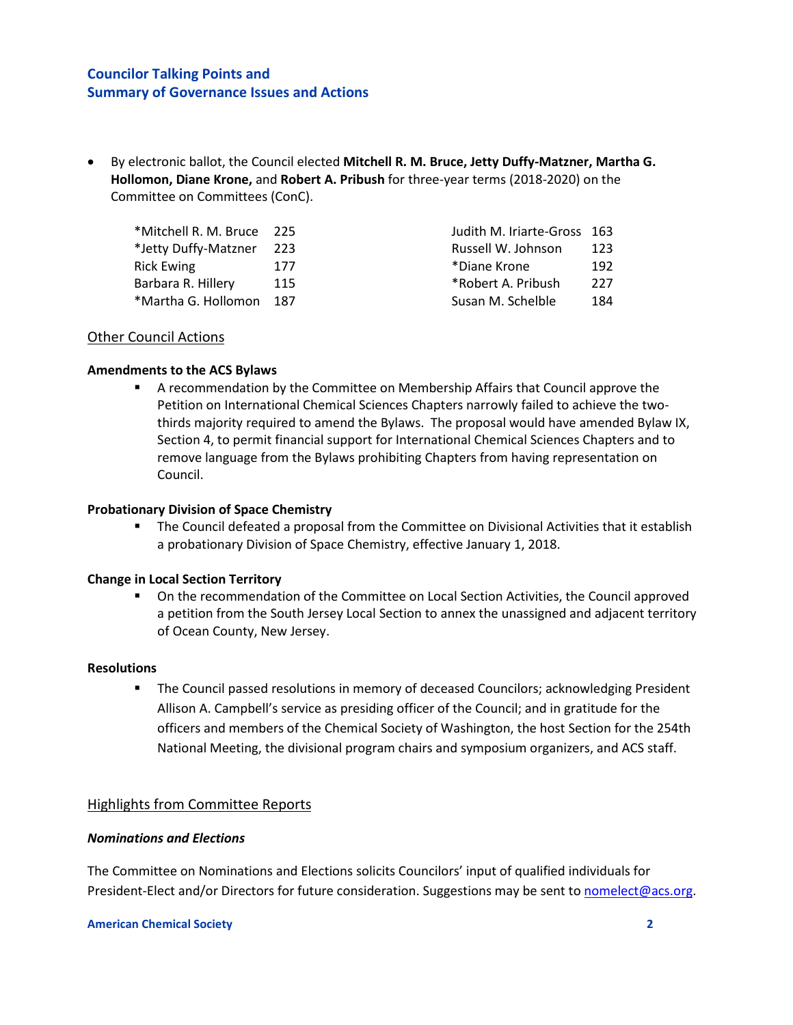• By electronic ballot, the Council elected **Mitchell R. M. Bruce, Jetty Duffy-Matzner, Martha G. Hollomon, Diane Krone,** and **Robert A. Pribush** for three-year terms (2018-2020) on the Committee on Committees (ConC).

| *Mitchell R. M. Bruce 225 |     | Judith M. Iriarte-Gross 163 |     |
|---------------------------|-----|-----------------------------|-----|
| *Jetty Duffy-Matzner 223  |     | Russell W. Johnson          | 123 |
| <b>Rick Ewing</b>         | 177 | *Diane Krone                | 192 |
| Barbara R. Hillery        | 115 | *Robert A. Pribush          | 227 |
| *Martha G. Hollomon 187   |     | Susan M. Schelble           | 184 |
|                           |     |                             |     |

#### Other Council Actions

#### **Amendments to the ACS Bylaws**

 A recommendation by the Committee on Membership Affairs that Council approve the Petition on International Chemical Sciences Chapters narrowly failed to achieve the twothirds majority required to amend the Bylaws. The proposal would have amended Bylaw IX, Section 4, to permit financial support for International Chemical Sciences Chapters and to remove language from the Bylaws prohibiting Chapters from having representation on Council.

#### **Probationary Division of Space Chemistry**

 The Council defeated a proposal from the Committee on Divisional Activities that it establish a probationary Division of Space Chemistry, effective January 1, 2018.

#### **Change in Local Section Territory**

 On the recommendation of the Committee on Local Section Activities, the Council approved a petition from the South Jersey Local Section to annex the unassigned and adjacent territory of Ocean County, New Jersey.

#### **Resolutions**

 The Council passed resolutions in memory of deceased Councilors; acknowledging President Allison A. Campbell's service as presiding officer of the Council; and in gratitude for the officers and members of the Chemical Society of Washington, the host Section for the 254th National Meeting, the divisional program chairs and symposium organizers, and ACS staff.

#### Highlights from Committee Reports

#### *Nominations and Elections*

The Committee on Nominations and Elections solicits Councilors' input of qualified individuals for President-Elect and/or Directors for future consideration. Suggestions may be sent to [nomelect@acs.org.](mailto:nomelect@acs.org)

#### **American Chemical Society 2**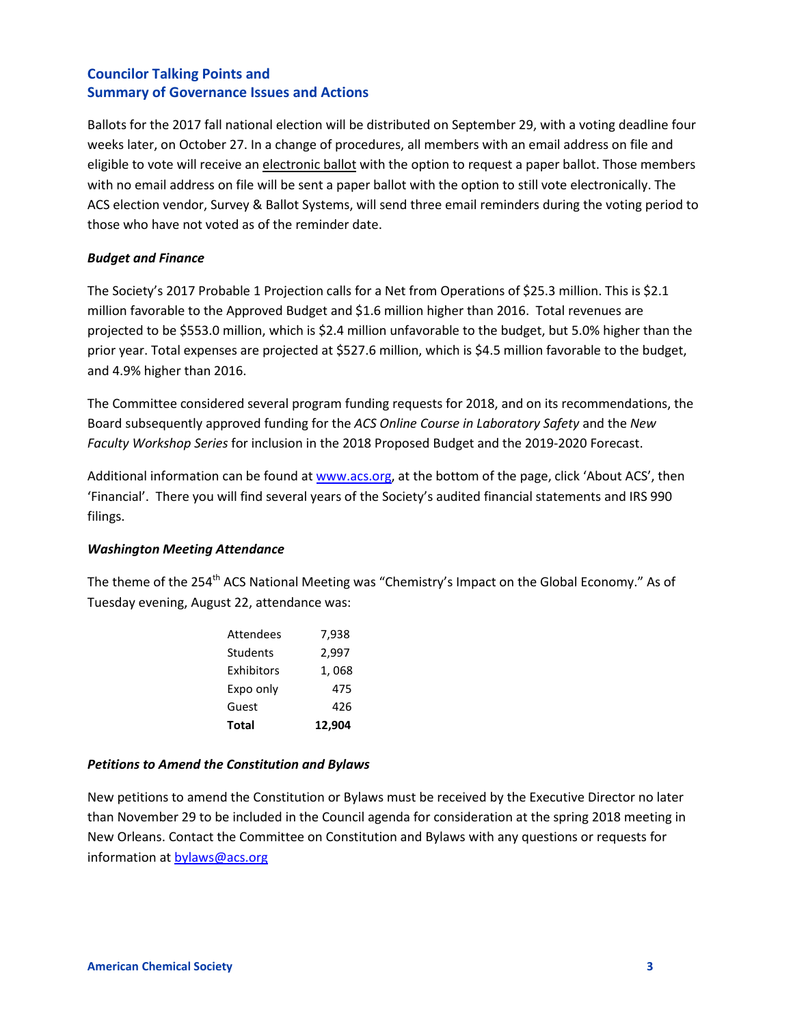Ballots for the 2017 fall national election will be distributed on September 29, with a voting deadline four weeks later, on October 27. In a change of procedures, all members with an email address on file and eligible to vote will receive an electronic ballot with the option to request a paper ballot. Those members with no email address on file will be sent a paper ballot with the option to still vote electronically. The ACS election vendor, Survey & Ballot Systems, will send three email reminders during the voting period to those who have not voted as of the reminder date.

#### *Budget and Finance*

The Society's 2017 Probable 1 Projection calls for a Net from Operations of \$25.3 million. This is \$2.1 million favorable to the Approved Budget and \$1.6 million higher than 2016. Total revenues are projected to be \$553.0 million, which is \$2.4 million unfavorable to the budget, but 5.0% higher than the prior year. Total expenses are projected at \$527.6 million, which is \$4.5 million favorable to the budget, and 4.9% higher than 2016.

The Committee considered several program funding requests for 2018, and on its recommendations, the Board subsequently approved funding for the *ACS Online Course in Laboratory Safety* and the *New Faculty Workshop Series* for inclusion in the 2018 Proposed Budget and the 2019-2020 Forecast.

Additional information can be found at [www.acs.org,](http://www.acs.org/) at the bottom of the page, click 'About ACS', then 'Financial'. There you will find several years of the Society's audited financial statements and IRS 990 filings.

#### *Washington Meeting Attendance*

The theme of the 254<sup>th</sup> ACS National Meeting was "Chemistry's Impact on the Global Economy." As of Tuesday evening, August 22, attendance was:

| <b>Attendees</b> | 7,938  |
|------------------|--------|
| Students         | 2,997  |
| Exhibitors       | 1,068  |
| Expo only        | 475    |
| Guest            | 426    |
| <b>Total</b>     | 12.904 |

#### *Petitions to Amend the Constitution and Bylaws*

New petitions to amend the Constitution or Bylaws must be received by the Executive Director no later than November 29 to be included in the Council agenda for consideration at the spring 2018 meeting in New Orleans. Contact the Committee on Constitution and Bylaws with any questions or requests for information a[t bylaws@acs.org](mailto:bylaws@acs.org)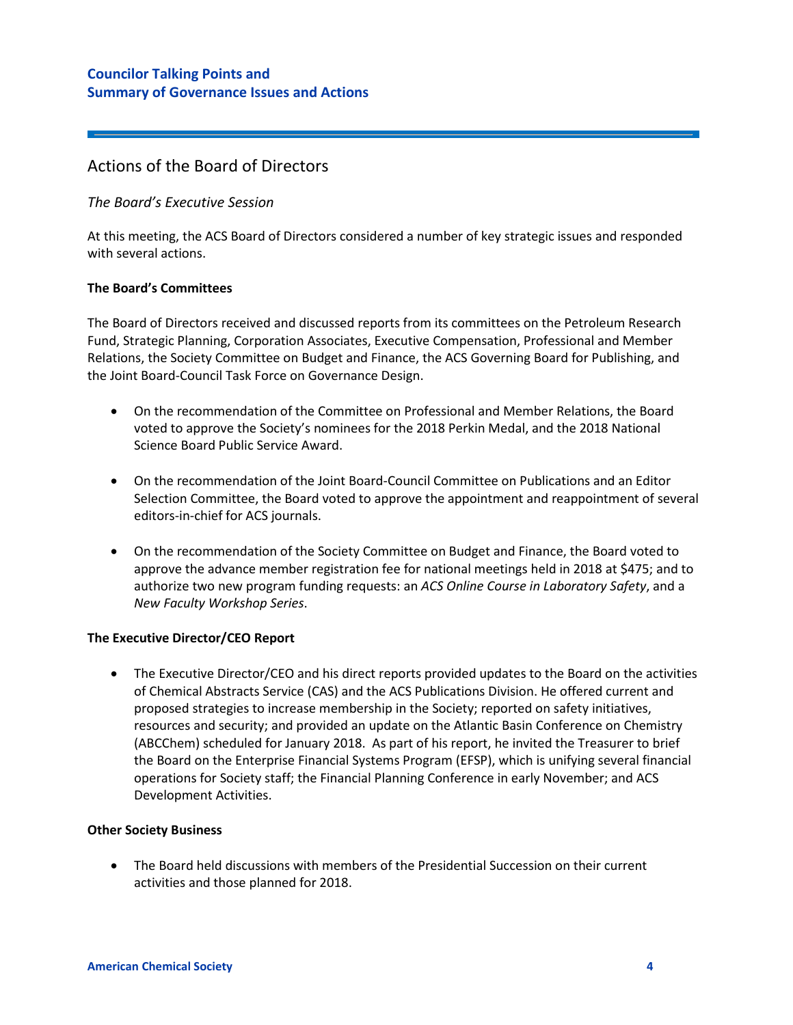# Actions of the Board of Directors

#### *The Board's Executive Session*

At this meeting, the ACS Board of Directors considered a number of key strategic issues and responded with several actions.

#### **The Board's Committees**

The Board of Directors received and discussed reports from its committees on the Petroleum Research Fund, Strategic Planning, Corporation Associates, Executive Compensation, Professional and Member Relations, the Society Committee on Budget and Finance, the ACS Governing Board for Publishing, and the Joint Board-Council Task Force on Governance Design.

- On the recommendation of the Committee on Professional and Member Relations, the Board voted to approve the Society's nominees for the 2018 Perkin Medal, and the 2018 National Science Board Public Service Award.
- On the recommendation of the Joint Board-Council Committee on Publications and an Editor Selection Committee, the Board voted to approve the appointment and reappointment of several editors-in-chief for ACS journals.
- On the recommendation of the Society Committee on Budget and Finance, the Board voted to approve the advance member registration fee for national meetings held in 2018 at \$475; and to authorize two new program funding requests: an *ACS Online Course in Laboratory Safety*, and a *New Faculty Workshop Series*.

#### **The Executive Director/CEO Report**

• The Executive Director/CEO and his direct reports provided updates to the Board on the activities of Chemical Abstracts Service (CAS) and the ACS Publications Division. He offered current and proposed strategies to increase membership in the Society; reported on safety initiatives, resources and security; and provided an update on the Atlantic Basin Conference on Chemistry (ABCChem) scheduled for January 2018. As part of his report, he invited the Treasurer to brief the Board on the Enterprise Financial Systems Program (EFSP), which is unifying several financial operations for Society staff; the Financial Planning Conference in early November; and ACS Development Activities.

#### **Other Society Business**

• The Board held discussions with members of the Presidential Succession on their current activities and those planned for 2018.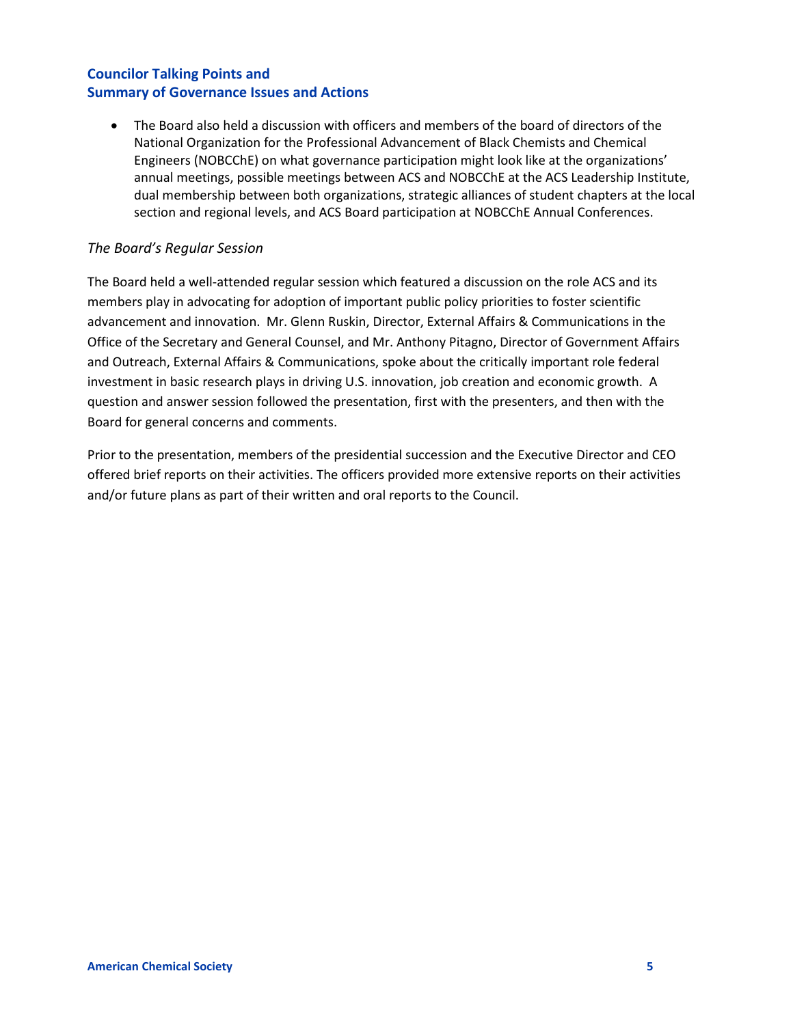• The Board also held a discussion with officers and members of the board of directors of the National Organization for the Professional Advancement of Black Chemists and Chemical Engineers (NOBCChE) on what governance participation might look like at the organizations' annual meetings, possible meetings between ACS and NOBCChE at the ACS Leadership Institute, dual membership between both organizations, strategic alliances of student chapters at the local section and regional levels, and ACS Board participation at NOBCChE Annual Conferences.

## *The Board's Regular Session*

The Board held a well-attended regular session which featured a discussion on the role ACS and its members play in advocating for adoption of important public policy priorities to foster scientific advancement and innovation. Mr. Glenn Ruskin, Director, External Affairs & Communications in the Office of the Secretary and General Counsel, and Mr. Anthony Pitagno, Director of Government Affairs and Outreach, External Affairs & Communications, spoke about the critically important role federal investment in basic research plays in driving U.S. innovation, job creation and economic growth. A question and answer session followed the presentation, first with the presenters, and then with the Board for general concerns and comments.

Prior to the presentation, members of the presidential succession and the Executive Director and CEO offered brief reports on their activities. The officers provided more extensive reports on their activities and/or future plans as part of their written and oral reports to the Council.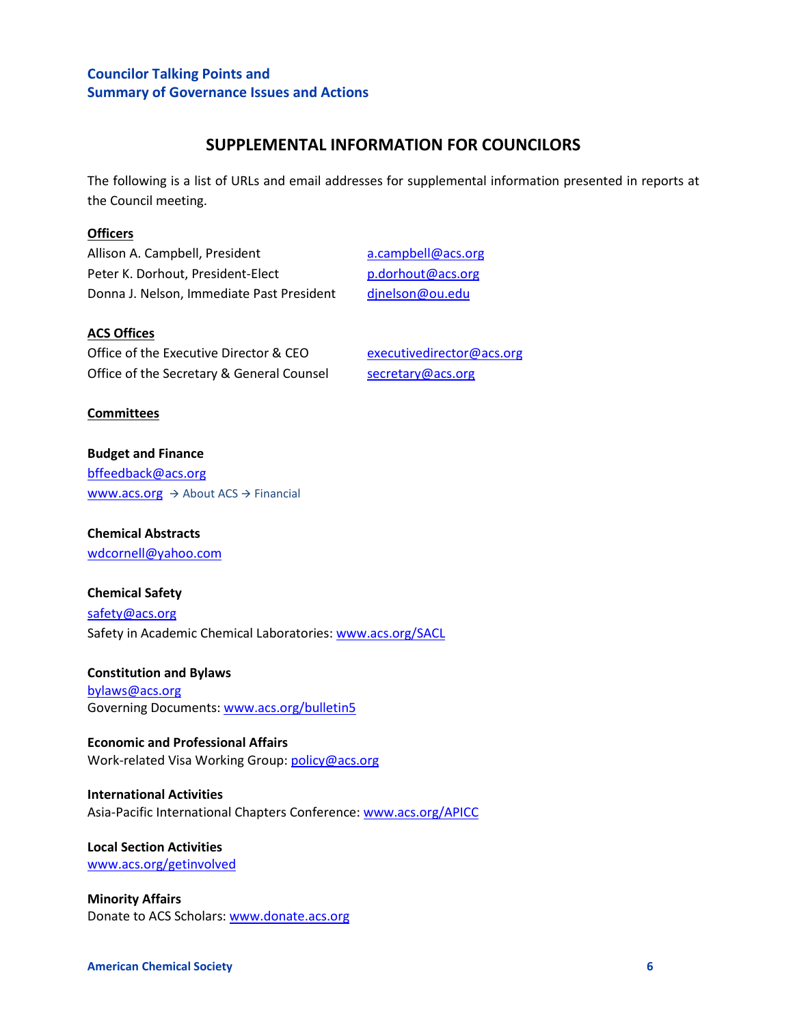## **SUPPLEMENTAL INFORMATION FOR COUNCILORS**

The following is a list of URLs and email addresses for supplemental information presented in reports at the Council meeting.

#### **Officers**

Allison A. Campbell, President and acampbell@acs.org Peter K. Dorhout, President-Elect [p.dorhout@acs.org](mailto:p.dorhout@acs.org) Donna J. Nelson, Immediate Past President [djnelson@ou.edu](mailto:djnelson@ou.edu)

#### **ACS Offices**

Office of the Executive Director & CEO executive director @acs.org Office of the Secretary & General Counsel [secretary@acs.org](mailto:secretary@acs.org)

#### **Committees**

**Budget and Finance** [bffeedback@acs.org](mailto:bffeedback@acs.org) [www.acs.org](http://www.acs.org/)  $\rightarrow$  About ACS  $\rightarrow$  Financial

# **Chemical Abstracts**

[wdcornell@yahoo.com](mailto:wdcornell@yahoo.com)

#### **Chemical Safety**

[safety@acs.org](mailto:safety@acs.org) Safety in Academic Chemical Laboratories[: www.acs.org/SACL](http://www.acs.org/SACL)

**Constitution and Bylaws** [bylaws@acs.org](mailto:bylaws@acs.org)  Governing Documents[: www.acs.org/bulletin5](http://www.acs.org/bulletin5)

**Economic and Professional Affairs** Work-related Visa Working Group[: policy@acs.org](mailto:policy@acs.org)

#### **International Activities** Asia-Pacific International Chapters Conference[: www.acs.org/APICC](http://www.acs.org/APICC)

**Local Section Activities** [www.acs.org/getinvolved](http://www.acs.org/getinvolved)

**Minority Affairs** Donate to ACS Scholars: [www.donate.acs.org](http://www.donate.acs.org/)